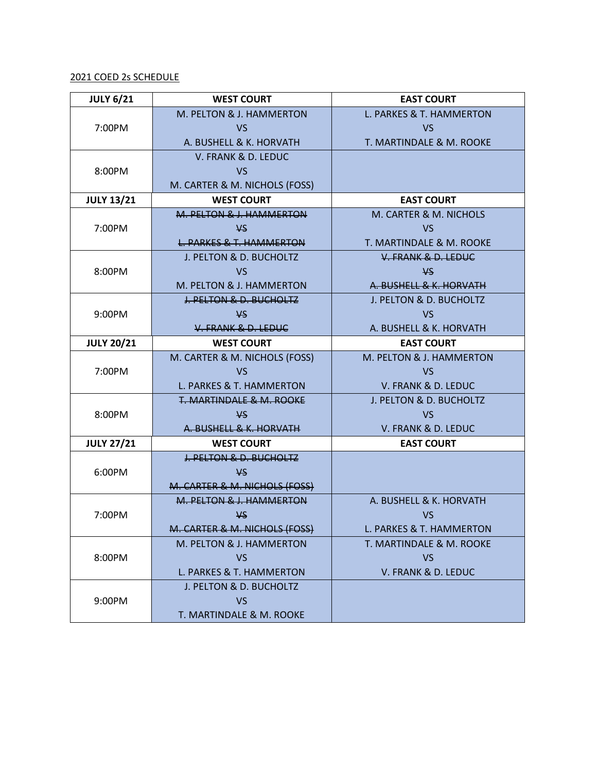## 2021 COED 2s SCHEDULE

| <b>JULY 6/21</b>  | <b>WEST COURT</b>                   | <b>EAST COURT</b>        |
|-------------------|-------------------------------------|--------------------------|
|                   | M. PELTON & J. HAMMERTON            | L. PARKES & T. HAMMERTON |
| 7:00PM            | <b>VS</b>                           | <b>VS</b>                |
|                   | A. BUSHELL & K. HORVATH             | T. MARTINDALE & M. ROOKE |
|                   | V. FRANK & D. LEDUC                 |                          |
| 8:00PM            | <b>VS</b>                           |                          |
|                   | M. CARTER & M. NICHOLS (FOSS)       |                          |
| <b>JULY 13/21</b> | <b>WEST COURT</b>                   | <b>EAST COURT</b>        |
|                   | M. PELTON & J. HAMMERTON            | M. CARTER & M. NICHOLS   |
| 7:00PM            | V <sub>S</sub>                      | <b>VS</b>                |
|                   | <b>L. PARKES &amp; T. HAMMERTON</b> | T. MARTINDALE & M. ROOKE |
|                   | J. PELTON & D. BUCHOLTZ             | V. FRANK & D. LEDUC      |
| 8:00PM            | <b>VS</b>                           | ¥S                       |
|                   | M. PELTON & J. HAMMERTON            | A. BUSHELL & K. HORVATH  |
|                   | <b>J. PELTON &amp; D. BUCHOLTZ</b>  | J. PELTON & D. BUCHOLTZ  |
| 9:00PM            | <b>VS</b>                           | <b>VS</b>                |
|                   | V. FRANK & D. LEDUC                 | A. BUSHELL & K. HORVATH  |
| <b>JULY 20/21</b> | <b>WEST COURT</b>                   | <b>EAST COURT</b>        |
|                   | M. CARTER & M. NICHOLS (FOSS)       | M. PELTON & J. HAMMERTON |
| 7:00PM            | <b>VS</b>                           | <b>VS</b>                |
|                   | L. PARKES & T. HAMMERTON            | V. FRANK & D. LEDUC      |
|                   | T. MARTINDALE & M. ROOKE            | J. PELTON & D. BUCHOLTZ  |
| 8:00PM            | <b>VS</b>                           | <b>VS</b>                |
|                   | A. BUSHELL & K. HORVATH             | V. FRANK & D. LEDUC      |
| <b>JULY 27/21</b> | <b>WEST COURT</b>                   | <b>EAST COURT</b>        |
|                   | J. PELTON & D. BUCHOLTZ             |                          |
| 6:00PM            | <b>VS</b>                           |                          |
|                   | M. CARTER & M. NICHOLS (FOSS)       |                          |
|                   | M. PELTON & J. HAMMERTON            | A. BUSHELL & K. HORVATH  |
| 7:00PM            | <b>VS</b>                           | <b>VS</b>                |
|                   | M. CARTER & M. NICHOLS (FOSS)       | L. PARKES & T. HAMMERTON |
|                   | M. PELTON & J. HAMMERTON            | T. MARTINDALE & M. ROOKE |
| 8:00PM            | <b>VS</b>                           | <b>VS</b>                |
|                   | L. PARKES & T. HAMMERTON            | V. FRANK & D. LEDUC      |
|                   | J. PELTON & D. BUCHOLTZ             |                          |
| 9:00PM            | <b>VS</b>                           |                          |
|                   | T. MARTINDALE & M. ROOKE            |                          |